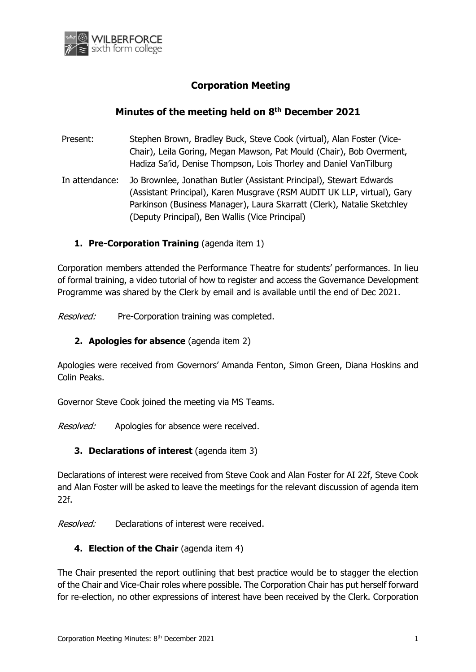

## **Corporation Meeting**

## **Minutes of the meeting held on 8 th December 2021**

- Present: Stephen Brown, Bradley Buck, Steve Cook (virtual), Alan Foster (Vice-Chair), Leila Goring, Megan Mawson, Pat Mould (Chair), Bob Overment, Hadiza Sa'id, Denise Thompson, Lois Thorley and Daniel VanTilburg
- In attendance: Jo Brownlee, Jonathan Butler (Assistant Principal), Stewart Edwards (Assistant Principal), Karen Musgrave (RSM AUDIT UK LLP, virtual), Gary Parkinson (Business Manager), Laura Skarratt (Clerk), Natalie Sketchley (Deputy Principal), Ben Wallis (Vice Principal)

### **1. Pre-Corporation Training** (agenda item 1)

Corporation members attended the Performance Theatre for students' performances. In lieu of formal training, a video tutorial of how to register and access the Governance Development Programme was shared by the Clerk by email and is available until the end of Dec 2021.

Resolved: Pre-Corporation training was completed.

#### **2. Apologies for absence** (agenda item 2)

Apologies were received from Governors' Amanda Fenton, Simon Green, Diana Hoskins and Colin Peaks.

Governor Steve Cook joined the meeting via MS Teams.

Resolved: Apologies for absence were received.

#### **3. Declarations of interest** (agenda item 3)

Declarations of interest were received from Steve Cook and Alan Foster for AI 22f, Steve Cook and Alan Foster will be asked to leave the meetings for the relevant discussion of agenda item 22f.

Resolved: Declarations of interest were received.

#### **4. Election of the Chair** (agenda item 4)

The Chair presented the report outlining that best practice would be to stagger the election of the Chair and Vice-Chair roles where possible. The Corporation Chair has put herself forward for re-election, no other expressions of interest have been received by the Clerk. Corporation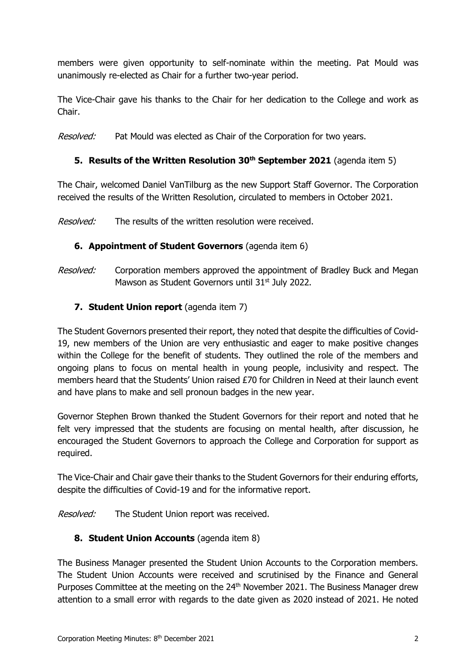members were given opportunity to self-nominate within the meeting. Pat Mould was unanimously re-elected as Chair for a further two-year period.

The Vice-Chair gave his thanks to the Chair for her dedication to the College and work as Chair.

Resolved: Pat Mould was elected as Chair of the Corporation for two years.

# **5. Results of the Written Resolution 30th September 2021** (agenda item 5)

The Chair, welcomed Daniel VanTilburg as the new Support Staff Governor. The Corporation received the results of the Written Resolution, circulated to members in October 2021.

*Resolved:* The results of the written resolution were received.

# **6. Appointment of Student Governors** (agenda item 6)

Resolved: Corporation members approved the appointment of Bradley Buck and Megan Mawson as Student Governors until  $31<sup>st</sup>$  July 2022.

# **7. Student Union report** (agenda item 7)

The Student Governors presented their report, they noted that despite the difficulties of Covid-19, new members of the Union are very enthusiastic and eager to make positive changes within the College for the benefit of students. They outlined the role of the members and ongoing plans to focus on mental health in young people, inclusivity and respect. The members heard that the Students' Union raised £70 for Children in Need at their launch event and have plans to make and sell pronoun badges in the new year.

Governor Stephen Brown thanked the Student Governors for their report and noted that he felt very impressed that the students are focusing on mental health, after discussion, he encouraged the Student Governors to approach the College and Corporation for support as required.

The Vice-Chair and Chair gave their thanks to the Student Governors for their enduring efforts, despite the difficulties of Covid-19 and for the informative report.

Resolved: The Student Union report was received.

# **8. Student Union Accounts** (agenda item 8)

The Business Manager presented the Student Union Accounts to the Corporation members. The Student Union Accounts were received and scrutinised by the Finance and General Purposes Committee at the meeting on the 24<sup>th</sup> November 2021. The Business Manager drew attention to a small error with regards to the date given as 2020 instead of 2021. He noted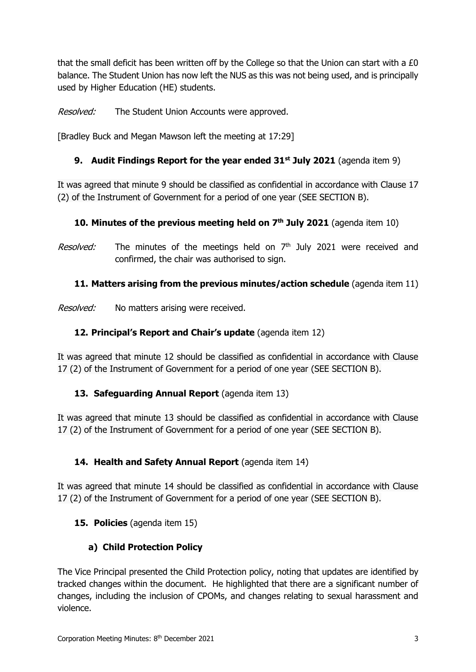that the small deficit has been written off by the College so that the Union can start with a £0 balance. The Student Union has now left the NUS as this was not being used, and is principally used by Higher Education (HE) students.

Resolved: The Student Union Accounts were approved.

[Bradley Buck and Megan Mawson left the meeting at 17:29]

# **9. Audit Findings Report for the year ended 31st July 2021** (agenda item 9)

It was agreed that minute 9 should be classified as confidential in accordance with Clause 17 (2) of the Instrument of Government for a period of one year (SEE SECTION B).

# **10. Minutes of the previous meeting held on 7 th July 2021** (agenda item 10)

Resolved: The minutes of the meetings held on 7<sup>th</sup> July 2021 were received and confirmed, the chair was authorised to sign.

# **11. Matters arising from the previous minutes/action schedule** (agenda item 11)

Resolved: No matters arising were received.

# **12. Principal's Report and Chair's update** (agenda item 12)

It was agreed that minute 12 should be classified as confidential in accordance with Clause 17 (2) of the Instrument of Government for a period of one year (SEE SECTION B).

### **13. Safeguarding Annual Report** (agenda item 13)

It was agreed that minute 13 should be classified as confidential in accordance with Clause 17 (2) of the Instrument of Government for a period of one year (SEE SECTION B).

# 14. Health and Safety Annual Report (agenda item 14)

It was agreed that minute 14 should be classified as confidential in accordance with Clause 17 (2) of the Instrument of Government for a period of one year (SEE SECTION B).

### **15. Policies** (agenda item 15)

# **a) Child Protection Policy**

The Vice Principal presented the Child Protection policy, noting that updates are identified by tracked changes within the document. He highlighted that there are a significant number of changes, including the inclusion of CPOMs, and changes relating to sexual harassment and violence.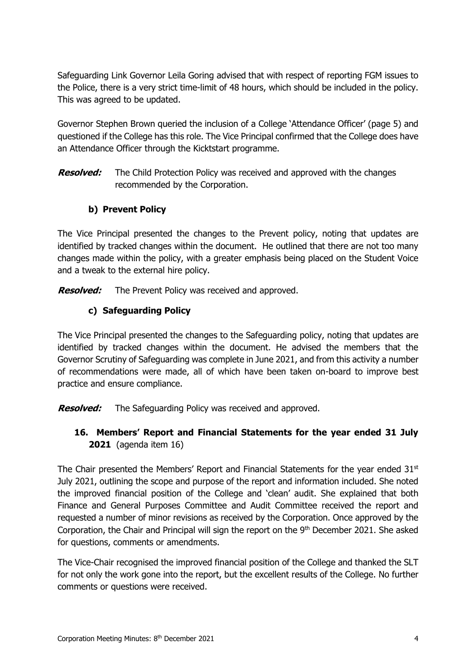Safeguarding Link Governor Leila Goring advised that with respect of reporting FGM issues to the Police, there is a very strict time-limit of 48 hours, which should be included in the policy. This was agreed to be updated.

Governor Stephen Brown queried the inclusion of a College 'Attendance Officer' (page 5) and questioned if the College has this role. The Vice Principal confirmed that the College does have an Attendance Officer through the Kicktstart programme.

**Resolved:** The Child Protection Policy was received and approved with the changes recommended by the Corporation.

### **b) Prevent Policy**

The Vice Principal presented the changes to the Prevent policy, noting that updates are identified by tracked changes within the document. He outlined that there are not too many changes made within the policy, with a greater emphasis being placed on the Student Voice and a tweak to the external hire policy.

**Resolved:** The Prevent Policy was received and approved.

# **c) Safeguarding Policy**

The Vice Principal presented the changes to the Safeguarding policy, noting that updates are identified by tracked changes within the document. He advised the members that the Governor Scrutiny of Safeguarding was complete in June 2021, and from this activity a number of recommendations were made, all of which have been taken on-board to improve best practice and ensure compliance.

**Resolved:** The Safeguarding Policy was received and approved.

# **16. Members' Report and Financial Statements for the year ended 31 July 2021** (agenda item 16)

The Chair presented the Members' Report and Financial Statements for the year ended  $31<sup>st</sup>$ July 2021, outlining the scope and purpose of the report and information included. She noted the improved financial position of the College and 'clean' audit. She explained that both Finance and General Purposes Committee and Audit Committee received the report and requested a number of minor revisions as received by the Corporation. Once approved by the Corporation, the Chair and Principal will sign the report on the 9<sup>th</sup> December 2021. She asked for questions, comments or amendments.

The Vice-Chair recognised the improved financial position of the College and thanked the SLT for not only the work gone into the report, but the excellent results of the College. No further comments or questions were received.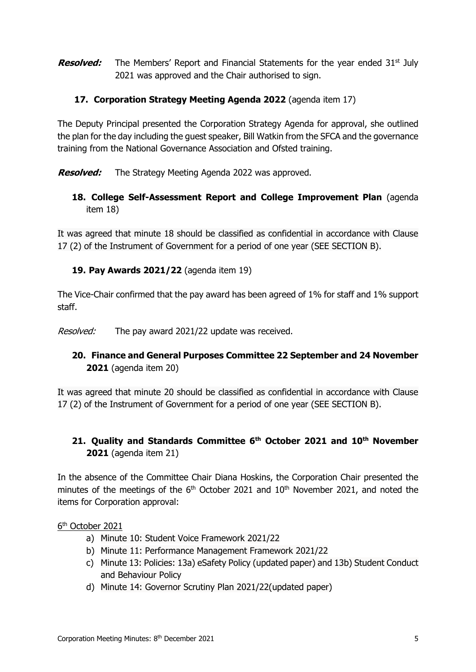**Resolved:** The Members' Report and Financial Statements for the year ended 31<sup>st</sup> July 2021 was approved and the Chair authorised to sign.

### **17. Corporation Strategy Meeting Agenda 2022** (agenda item 17)

The Deputy Principal presented the Corporation Strategy Agenda for approval, she outlined the plan for the day including the guest speaker, Bill Watkin from the SFCA and the governance training from the National Governance Association and Ofsted training.

**Resolved:** The Strategy Meeting Agenda 2022 was approved.

### **18. College Self-Assessment Report and College Improvement Plan** (agenda item 18)

It was agreed that minute 18 should be classified as confidential in accordance with Clause 17 (2) of the Instrument of Government for a period of one year (SEE SECTION B).

### **19. Pay Awards 2021/22** (agenda item 19)

The Vice-Chair confirmed that the pay award has been agreed of 1% for staff and 1% support staff.

*Resolved:* The pay award 2021/22 update was received.

### **20. Finance and General Purposes Committee 22 September and 24 November 2021** (agenda item 20)

It was agreed that minute 20 should be classified as confidential in accordance with Clause 17 (2) of the Instrument of Government for a period of one year (SEE SECTION B).

# **21. Quality and Standards Committee 6th October 2021 and 10th November 2021** (agenda item 21)

In the absence of the Committee Chair Diana Hoskins, the Corporation Chair presented the minutes of the meetings of the  $6<sup>th</sup>$  October 2021 and  $10<sup>th</sup>$  November 2021, and noted the items for Corporation approval:

#### 6<sup>th</sup> October 2021

- a) Minute 10: Student Voice Framework 2021/22
- b) Minute 11: Performance Management Framework 2021/22
- c) Minute 13: Policies: 13a) eSafety Policy (updated paper) and 13b) Student Conduct and Behaviour Policy
- d) Minute 14: Governor Scrutiny Plan 2021/22(updated paper)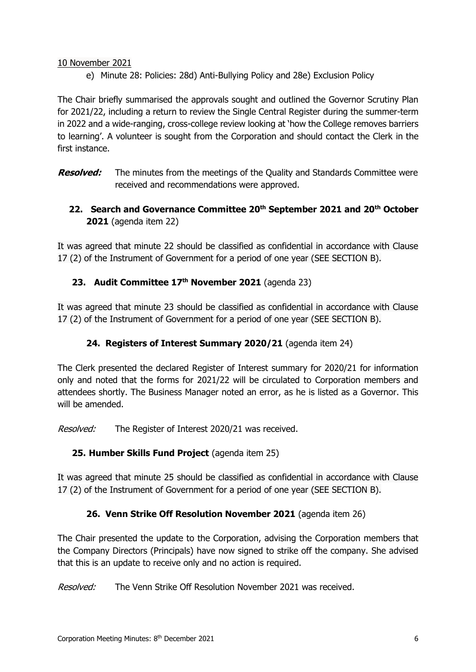#### 10 November 2021

e) Minute 28: Policies: 28d) Anti-Bullying Policy and 28e) Exclusion Policy

The Chair briefly summarised the approvals sought and outlined the Governor Scrutiny Plan for 2021/22, including a return to review the Single Central Register during the summer-term in 2022 and a wide-ranging, cross-college review looking at 'how the College removes barriers to learning'. A volunteer is sought from the Corporation and should contact the Clerk in the first instance.

**Resolved:** The minutes from the meetings of the Quality and Standards Committee were received and recommendations were approved.

## **22. Search and Governance Committee 20th September 2021 and 20th October 2021** (agenda item 22)

It was agreed that minute 22 should be classified as confidential in accordance with Clause 17 (2) of the Instrument of Government for a period of one year (SEE SECTION B).

### **23. Audit Committee 17th November 2021** (agenda 23)

It was agreed that minute 23 should be classified as confidential in accordance with Clause 17 (2) of the Instrument of Government for a period of one year (SEE SECTION B).

### **24. Registers of Interest Summary 2020/21** (agenda item 24)

The Clerk presented the declared Register of Interest summary for 2020/21 for information only and noted that the forms for 2021/22 will be circulated to Corporation members and attendees shortly. The Business Manager noted an error, as he is listed as a Governor. This will be amended.

Resolved: The Register of Interest 2020/21 was received.

### **25. Humber Skills Fund Project** (agenda item 25)

It was agreed that minute 25 should be classified as confidential in accordance with Clause 17 (2) of the Instrument of Government for a period of one year (SEE SECTION B).

### **26. Venn Strike Off Resolution November 2021** (agenda item 26)

The Chair presented the update to the Corporation, advising the Corporation members that the Company Directors (Principals) have now signed to strike off the company. She advised that this is an update to receive only and no action is required.

Resolved: The Venn Strike Off Resolution November 2021 was received.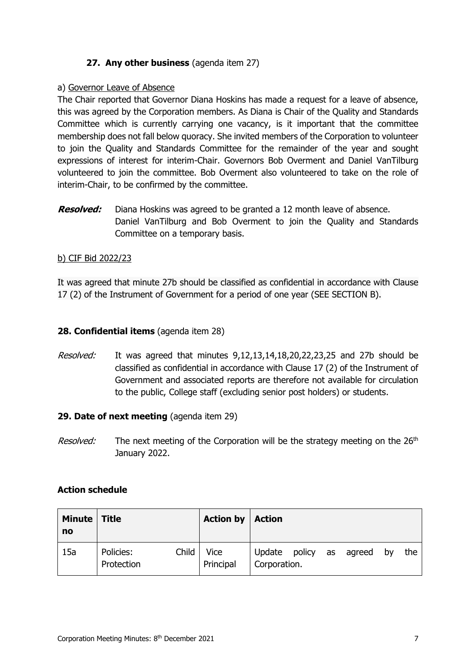### **27. Any other business** (agenda item 27)

#### a) Governor Leave of Absence

The Chair reported that Governor Diana Hoskins has made a request for a leave of absence, this was agreed by the Corporation members. As Diana is Chair of the Quality and Standards Committee which is currently carrying one vacancy, is it important that the committee membership does not fall below quoracy. She invited members of the Corporation to volunteer to join the Quality and Standards Committee for the remainder of the year and sought expressions of interest for interim-Chair. Governors Bob Overment and Daniel VanTilburg volunteered to join the committee. Bob Overment also volunteered to take on the role of interim-Chair, to be confirmed by the committee.

**Resolved:** Diana Hoskins was agreed to be granted a 12 month leave of absence. Daniel VanTilburg and Bob Overment to join the Quality and Standards Committee on a temporary basis.

#### b) CIF Bid 2022/23

It was agreed that minute 27b should be classified as confidential in accordance with Clause 17 (2) of the Instrument of Government for a period of one year (SEE SECTION B).

#### **28. Confidential items** (agenda item 28)

Resolved: It was agreed that minutes 9,12,13,14,18,20,22,23,25 and 27b should be classified as confidential in accordance with Clause 17 (2) of the Instrument of Government and associated reports are therefore not available for circulation to the public, College staff (excluding senior post holders) or students.

#### **29. Date of next meeting** (agenda item 29)

*Resolved:* The next meeting of the Corporation will be the strategy meeting on the 26<sup>th</sup> January 2022.

#### **Action schedule**

| Minute   Title<br>no |                         |       | <b>Action by</b>         | <b>Action</b>                           |  |    |     |
|----------------------|-------------------------|-------|--------------------------|-----------------------------------------|--|----|-----|
| 15a                  | Policies:<br>Protection | Child | <b>Vice</b><br>Principal | Update policy as agreed<br>Corporation. |  | bv | the |